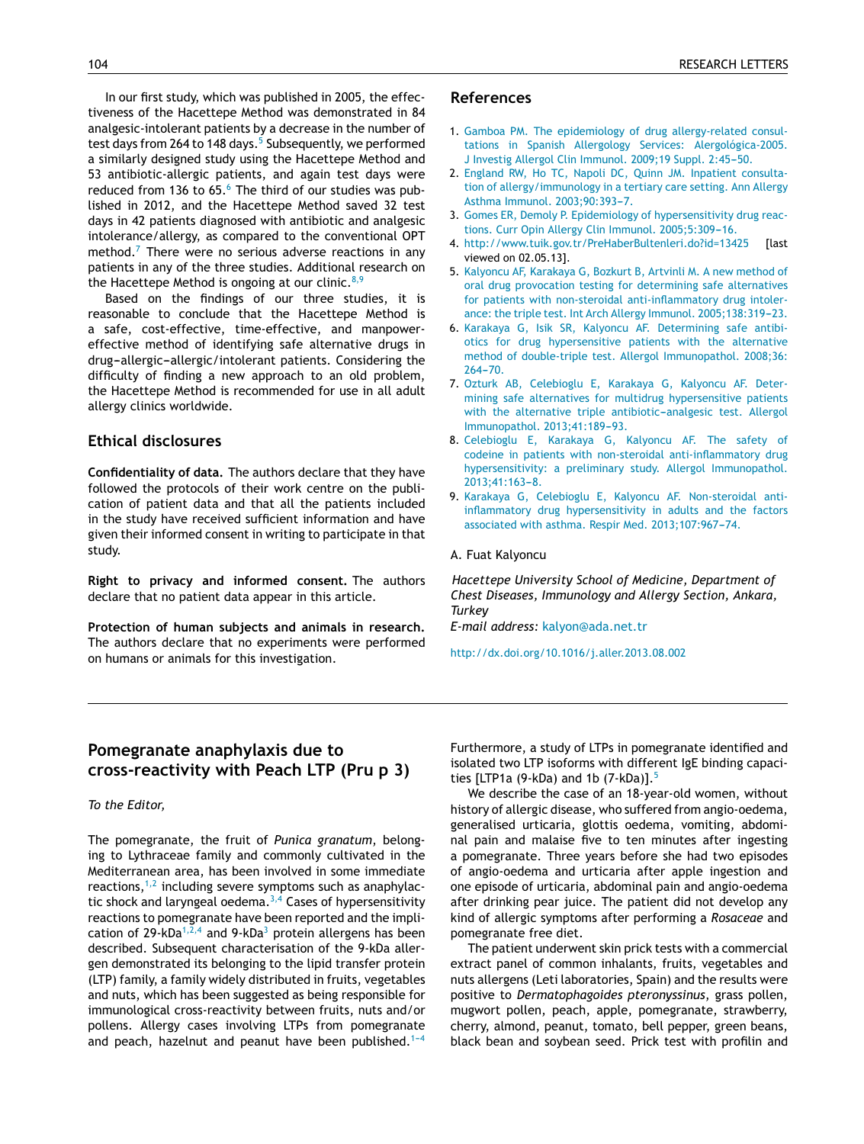In [our](http://refhub.elsevier.com/S0301-0546(13)00230-9/sbref0010) [firs](http://refhub.elsevier.com/S0301-0546(13)00230-9/sbref0010)t [stud](http://refhub.elsevier.com/S0301-0546(13)00230-9/sbref0010)y[,](http://refhub.elsevier.com/S0301-0546(13)00230-9/sbref0010) [which](http://refhub.elsevier.com/S0301-0546(13)00230-9/sbref0010) was [published](http://refhub.elsevier.com/S0301-0546(13)00230-9/sbref0010) in [2005,](http://refhub.elsevier.com/S0301-0546(13)00230-9/sbref0010) the [effe](http://refhub.elsevier.com/S0301-0546(13)00230-9/sbref0010)c[tiveness](http://refhub.elsevier.com/S0301-0546(13)00230-9/sbref0010) o[f](http://refhub.elsevier.com/S0301-0546(13)00230-9/sbref0010) [the](http://refhub.elsevier.com/S0301-0546(13)00230-9/sbref0010) Ha[cettepe](http://refhub.elsevier.com/S0301-0546(13)00230-9/sbref0010) [Me](http://refhub.elsevier.com/S0301-0546(13)00230-9/sbref0010)thod was [demonstrated](http://refhub.elsevier.com/S0301-0546(13)00230-9/sbref0010) in 84 [analgesic-](http://refhub.elsevier.com/S0301-0546(13)00230-9/sbref0010)i[ntoleran](http://refhub.elsevier.com/S0301-0546(13)00230-9/sbref0010)t [patient](http://refhub.elsevier.com/S0301-0546(13)00230-9/sbref0010)s [b](http://refhub.elsevier.com/S0301-0546(13)00230-9/sbref0010)y a [de](http://refhub.elsevier.com/S0301-0546(13)00230-9/sbref0010)c[rease](http://refhub.elsevier.com/S0301-0546(13)00230-9/sbref0010) in the [number](http://refhub.elsevier.com/S0301-0546(13)00230-9/sbref0010) of test [days](http://refhub.elsevier.com/S0301-0546(13)00230-9/sbref0010) fr[om](http://refhub.elsevier.com/S0301-0546(13)00230-9/sbref0010) 264 to 148 days.<sup>5</sup> Sub[seq](http://refhub.elsevier.com/S0301-0546(13)00230-9/sbref0015)uently, [we](http://refhub.elsevier.com/S0301-0546(13)00230-9/sbref0015) performed a [similarly](http://refhub.elsevier.com/S0301-0546(13)00230-9/sbref0015) d[esigned](http://refhub.elsevier.com/S0301-0546(13)00230-9/sbref0015) [study](http://refhub.elsevier.com/S0301-0546(13)00230-9/sbref0015) using the [Hacette](http://refhub.elsevier.com/S0301-0546(13)00230-9/sbref0015)pe [Method](http://refhub.elsevier.com/S0301-0546(13)00230-9/sbref0015) [an](http://refhub.elsevier.com/S0301-0546(13)00230-9/sbref0015)d [53](http://refhub.elsevier.com/S0301-0546(13)00230-9/sbref0015) [antibiotic-a](http://refhub.elsevier.com/S0301-0546(13)00230-9/sbref0015)l[lergic](http://refhub.elsevier.com/S0301-0546(13)00230-9/sbref0015) patients, [and](http://refhub.elsevier.com/S0301-0546(13)00230-9/sbref0015) [agai](http://refhub.elsevier.com/S0301-0546(13)00230-9/sbref0015)n [te](http://refhub.elsevier.com/S0301-0546(13)00230-9/sbref0015)st [days](http://refhub.elsevier.com/S0301-0546(13)00230-9/sbref0015) [wer](http://refhub.elsevier.com/S0301-0546(13)00230-9/sbref0015)e [reduced](http://refhub.elsevier.com/S0301-0546(13)00230-9/sbref0015) from [136](http://refhub.elsevier.com/S0301-0546(13)00230-9/sbref0015) t[o](http://refhub.elsevier.com/S0301-0546(13)00230-9/sbref0015)  $65.^6$  [The](http://refhub.elsevier.com/S0301-0546(13)00230-9/sbref0015) third of [our](http://refhub.elsevier.com/S0301-0546(13)00230-9/sbref0015) st[udie](http://refhub.elsevier.com/S0301-0546(13)00230-9/sbref0015)s was [pub](http://www.elsevier.es/ai)[lishe](http://refhub.elsevier.com/S0301-0546(13)00230-9/sbref0020)d [i](http://refhub.elsevier.com/S0301-0546(13)00230-9/sbref0020)n [2012,](http://refhub.elsevier.com/S0301-0546(13)00230-9/sbref0020) and t[he](http://refhub.elsevier.com/S0301-0546(13)00230-9/sbref0020) H[ace](http://refhub.elsevier.com/S0301-0546(13)00230-9/sbref0020)t[tepe](http://refhub.elsevier.com/S0301-0546(13)00230-9/sbref0020) [Metho](http://refhub.elsevier.com/S0301-0546(13)00230-9/sbref0020)d s[aved](http://refhub.elsevier.com/S0301-0546(13)00230-9/sbref0020) 32 [te](http://refhub.elsevier.com/S0301-0546(13)00230-9/sbref0020)st [days](http://refhub.elsevier.com/S0301-0546(13)00230-9/sbref0020) in 42 [patients](http://refhub.elsevier.com/S0301-0546(13)00230-9/sbref0020) di[agn](http://refhub.elsevier.com/S0301-0546(13)00230-9/sbref0020)osed with antibiotic and analgesic [intolerance/allergy,](http://refhub.elsevier.com/S0301-0546(13)00230-9/sbref0025) a[s](http://refhub.elsevier.com/S0301-0546(13)00230-9/sbref0025) [compared](http://refhub.elsevier.com/S0301-0546(13)00230-9/sbref0025) to [t](http://refhub.elsevier.com/S0301-0546(13)00230-9/sbref0025)he [conventional](http://refhub.elsevier.com/S0301-0546(13)00230-9/sbref0025) OPT [method.](http://refhub.elsevier.com/S0301-0546(13)00230-9/sbref0025)<sup>7</sup> T[here](http://refhub.elsevier.com/S0301-0546(13)00230-9/sbref0025) were [no](http://refhub.elsevier.com/S0301-0546(13)00230-9/sbref0025) se[rious](http://refhub.elsevier.com/S0301-0546(13)00230-9/sbref0025) ad[vers](http://refhub.elsevier.com/S0301-0546(13)00230-9/sbref0025)e [reactions](http://refhub.elsevier.com/S0301-0546(13)00230-9/sbref0025) in any [patients](http://refhub.elsevier.com/S0301-0546(13)00230-9/sbref0025) [in](http://refhub.elsevier.com/S0301-0546(13)00230-9/sbref0025) any of the three studies. Additional research on [the](http://refhub.elsevier.com/S0301-0546(13)00230-9/sbref0030) H[acett](http://refhub.elsevier.com/S0301-0546(13)00230-9/sbref0030)epe [Method](http://refhub.elsevier.com/S0301-0546(13)00230-9/sbref0030) is [ongoi](http://refhub.elsevier.com/S0301-0546(13)00230-9/sbref0030)ng at [our](http://refhub.elsevier.com/S0301-0546(13)00230-9/sbref0030) [cl](http://refhub.elsevier.com/S0301-0546(13)00230-9/sbref0030)i[nic.](http://refhub.elsevier.com/S0301-0546(13)00230-9/sbref0030)  $8,9$ 

[Based](http://refhub.elsevier.com/S0301-0546(13)00230-9/sbref0030) on [the](http://refhub.elsevier.com/S0301-0546(13)00230-9/sbref0030) [findings](http://refhub.elsevier.com/S0301-0546(13)00230-9/sbref0030) of [our](http://refhub.elsevier.com/S0301-0546(13)00230-9/sbref0030) [thr](http://refhub.elsevier.com/S0301-0546(13)00230-9/sbref0030)ee [studies,](http://refhub.elsevier.com/S0301-0546(13)00230-9/sbref0030) it is [reasonable](http://refhub.elsevier.com/S0301-0546(13)00230-9/sbref0030) t[o](http://refhub.elsevier.com/S0301-0546(13)00230-9/sbref0030) conclude that the Hacettepe Method is a safe, cost-effective, time-effective, and manpowereffective method of identifying safe alternative drugs in drug-allergic-allergic/intolerant patients. Considering the difficulty of finding a new approach to an old problem, the Hacettepe Method is recommended for use in all adult allergy clinics worldwide.

## **Ethical disclosures**

**Confidentiality of data.** The authors declare that they have followed the protocols of their work centre on the publication of patient data and that all the patients included in the study have received sufficient information and have given their informed consent in writing to participate in that study.

**Right to privacy and informed consent.** The authors declare that no patient data appear in this article.

**Protection of human subjects and animals in research.** The authors declare that no experiments were performed on humans or animals for this investigation.

## **References**

- 1. [Gamboa](http://refhub.elsevier.com/S0301-0546(13)00230-9/sbref0005) [PM.](http://refhub.elsevier.com/S0301-0546(13)00230-9/sbref0005) [The](http://refhub.elsevier.com/S0301-0546(13)00230-9/sbref0005) [epidemiology](http://refhub.elsevier.com/S0301-0546(13)00230-9/sbref0005) [of](http://refhub.elsevier.com/S0301-0546(13)00230-9/sbref0005) [drug](http://refhub.elsevier.com/S0301-0546(13)00230-9/sbref0005) [allergy-related](http://refhub.elsevier.com/S0301-0546(13)00230-9/sbref0005) [consul](http://refhub.elsevier.com/S0301-0546(13)00230-9/sbref0005)[tations](http://refhub.elsevier.com/S0301-0546(13)00230-9/sbref0005) [in](http://refhub.elsevier.com/S0301-0546(13)00230-9/sbref0005) [Spanish](http://refhub.elsevier.com/S0301-0546(13)00230-9/sbref0005) [Allergology](http://refhub.elsevier.com/S0301-0546(13)00230-9/sbref0005) [Services:](http://refhub.elsevier.com/S0301-0546(13)00230-9/sbref0005) [Alergológica-2005.](http://refhub.elsevier.com/S0301-0546(13)00230-9/sbref0005) [J](http://refhub.elsevier.com/S0301-0546(13)00230-9/sbref0005) [Investig](http://refhub.elsevier.com/S0301-0546(13)00230-9/sbref0005) [Allergol](http://refhub.elsevier.com/S0301-0546(13)00230-9/sbref0005) [Clin](http://refhub.elsevier.com/S0301-0546(13)00230-9/sbref0005) [Immunol.](http://refhub.elsevier.com/S0301-0546(13)00230-9/sbref0005) [2009;19](http://refhub.elsevier.com/S0301-0546(13)00230-9/sbref0005) [Suppl.](http://refhub.elsevier.com/S0301-0546(13)00230-9/sbref0005) [2:45](http://refhub.elsevier.com/S0301-0546(13)00230-9/sbref0005)-[50.](http://refhub.elsevier.com/S0301-0546(13)00230-9/sbref0005)
- 2. [England](http://refhub.elsevier.com/S0301-0546(13)00230-9/sbref0010) [RW,](http://refhub.elsevier.com/S0301-0546(13)00230-9/sbref0010) [Ho](http://refhub.elsevier.com/S0301-0546(13)00230-9/sbref0010) [TC,](http://refhub.elsevier.com/S0301-0546(13)00230-9/sbref0010) [Napoli](http://refhub.elsevier.com/S0301-0546(13)00230-9/sbref0010) [DC,](http://refhub.elsevier.com/S0301-0546(13)00230-9/sbref0010) [Quinn](http://refhub.elsevier.com/S0301-0546(13)00230-9/sbref0010) [JM.](http://refhub.elsevier.com/S0301-0546(13)00230-9/sbref0010) [Inpatient](http://refhub.elsevier.com/S0301-0546(13)00230-9/sbref0010) [consulta](http://refhub.elsevier.com/S0301-0546(13)00230-9/sbref0010)[tion](http://refhub.elsevier.com/S0301-0546(13)00230-9/sbref0010) [of](http://refhub.elsevier.com/S0301-0546(13)00230-9/sbref0010) [allergy/immunology](http://refhub.elsevier.com/S0301-0546(13)00230-9/sbref0010) [in](http://refhub.elsevier.com/S0301-0546(13)00230-9/sbref0010) [a](http://refhub.elsevier.com/S0301-0546(13)00230-9/sbref0010) [tertiary](http://refhub.elsevier.com/S0301-0546(13)00230-9/sbref0010) [care](http://refhub.elsevier.com/S0301-0546(13)00230-9/sbref0010) [setting.](http://refhub.elsevier.com/S0301-0546(13)00230-9/sbref0010) [Ann](http://refhub.elsevier.com/S0301-0546(13)00230-9/sbref0010) [Allergy](http://refhub.elsevier.com/S0301-0546(13)00230-9/sbref0010) [Asthma](http://refhub.elsevier.com/S0301-0546(13)00230-9/sbref0010) [Immunol.](http://refhub.elsevier.com/S0301-0546(13)00230-9/sbref0010) [2003;90:393](http://refhub.elsevier.com/S0301-0546(13)00230-9/sbref0010)-[7.](http://refhub.elsevier.com/S0301-0546(13)00230-9/sbref0010)
- 3. [Gomes](http://refhub.elsevier.com/S0301-0546(13)00230-9/sbref0015) [ER,](http://refhub.elsevier.com/S0301-0546(13)00230-9/sbref0015) [Demoly](http://refhub.elsevier.com/S0301-0546(13)00230-9/sbref0015) [P.](http://refhub.elsevier.com/S0301-0546(13)00230-9/sbref0015) [Epidemiology](http://refhub.elsevier.com/S0301-0546(13)00230-9/sbref0015) [of](http://refhub.elsevier.com/S0301-0546(13)00230-9/sbref0015) [hypersensitivity](http://refhub.elsevier.com/S0301-0546(13)00230-9/sbref0015) [drug](http://refhub.elsevier.com/S0301-0546(13)00230-9/sbref0015) [reac](http://refhub.elsevier.com/S0301-0546(13)00230-9/sbref0015)[tions.](http://refhub.elsevier.com/S0301-0546(13)00230-9/sbref0015) [Curr](http://refhub.elsevier.com/S0301-0546(13)00230-9/sbref0015) [Opin](http://refhub.elsevier.com/S0301-0546(13)00230-9/sbref0015) [Allergy](http://refhub.elsevier.com/S0301-0546(13)00230-9/sbref0015) [Clin](http://refhub.elsevier.com/S0301-0546(13)00230-9/sbref0015) [Immunol.](http://refhub.elsevier.com/S0301-0546(13)00230-9/sbref0015) 2005:5:309-[16.](http://refhub.elsevier.com/S0301-0546(13)00230-9/sbref0015)
- 4. <http://www.tuik.gov.tr/PreHaberBultenleri.do?id=13425> [last viewed on 02[.05.13\].](mailto:dario.antolin@gmail.com)
- 5. [Kalyoncu](http://refhub.elsevier.com/S0301-0546(13)00230-9/sbref0025) [AF,](http://refhub.elsevier.com/S0301-0546(13)00230-9/sbref0025) [Karakaya](http://refhub.elsevier.com/S0301-0546(13)00230-9/sbref0025) [G,](http://refhub.elsevier.com/S0301-0546(13)00230-9/sbref0025) [Bozkurt](http://refhub.elsevier.com/S0301-0546(13)00230-9/sbref0025) [B,](http://refhub.elsevier.com/S0301-0546(13)00230-9/sbref0025) [Artvinli](http://refhub.elsevier.com/S0301-0546(13)00230-9/sbref0025) [M.](http://refhub.elsevier.com/S0301-0546(13)00230-9/sbref0025) [A](http://refhub.elsevier.com/S0301-0546(13)00230-9/sbref0025) [new](http://refhub.elsevier.com/S0301-0546(13)00230-9/sbref0025) [method](http://refhub.elsevier.com/S0301-0546(13)00230-9/sbref0025) [of](http://refhub.elsevier.com/S0301-0546(13)00230-9/sbref0025) [oral](http://refhub.elsevier.com/S0301-0546(13)00230-9/sbref0025) [drug](http://refhub.elsevier.com/S0301-0546(13)00230-9/sbref0025) [provocation](http://refhub.elsevier.com/S0301-0546(13)00230-9/sbref0025) [testing](http://refhub.elsevier.com/S0301-0546(13)00230-9/sbref0025) [for](http://refhub.elsevier.com/S0301-0546(13)00230-9/sbref0025) [determining](http://refhub.elsevier.com/S0301-0546(13)00230-9/sbref0025) [safe](http://refhub.elsevier.com/S0301-0546(13)00230-9/sbref0025) [alternatives](http://refhub.elsevier.com/S0301-0546(13)00230-9/sbref0025) [for](http://refhub.elsevier.com/S0301-0546(13)00230-9/sbref0025) [patients](http://refhub.elsevier.com/S0301-0546(13)00230-9/sbref0025) [with](http://refhub.elsevier.com/S0301-0546(13)00230-9/sbref0025) [non-steroidal](dx.doi.org/10.1016/j.aller.2013.07.003) [anti-inflammatory](http://refhub.elsevier.com/S0301-0546(13)00230-9/sbref0025) [drug](http://refhub.elsevier.com/S0301-0546(13)00230-9/sbref0025) [intoler](http://refhub.elsevier.com/S0301-0546(13)00230-9/sbref0025)[ance:](http://refhub.elsevier.com/S0301-0546(13)00230-9/sbref0025) [the](http://refhub.elsevier.com/S0301-0546(13)00230-9/sbref0025) [triple](http://refhub.elsevier.com/S0301-0546(13)00230-9/sbref0025) [test.](http://refhub.elsevier.com/S0301-0546(13)00230-9/sbref0025) [Int](http://refhub.elsevier.com/S0301-0546(13)00230-9/sbref0025) [Arch](http://refhub.elsevier.com/S0301-0546(13)00230-9/sbref0025) [Allergy](http://refhub.elsevier.com/S0301-0546(13)00230-9/sbref0025) [Immunol.](http://refhub.elsevier.com/S0301-0546(13)00230-9/sbref0025) 2005;138:319-23.
- 6. [Karakaya](http://refhub.elsevier.com/S0301-0546(13)00230-9/sbref0030) [G,](http://refhub.elsevier.com/S0301-0546(13)00230-9/sbref0030) [Isik](http://refhub.elsevier.com/S0301-0546(13)00230-9/sbref0030) [SR,](http://refhub.elsevier.com/S0301-0546(13)00230-9/sbref0030) [Kalyoncu](http://refhub.elsevier.com/S0301-0546(13)00230-9/sbref0030) [AF.](http://refhub.elsevier.com/S0301-0546(13)00230-9/sbref0030) [Determining](http://refhub.elsevier.com/S0301-0546(13)00230-9/sbref0030) [safe](http://refhub.elsevier.com/S0301-0546(13)00230-9/sbref0030) [antibi](http://refhub.elsevier.com/S0301-0546(13)00230-9/sbref0030)[otics](http://refhub.elsevier.com/S0301-0546(13)00230-9/sbref0030) [for](http://refhub.elsevier.com/S0301-0546(13)00230-9/sbref0030) [drug](http://refhub.elsevier.com/S0301-0546(13)00230-9/sbref0030) [hypersensitive](http://refhub.elsevier.com/S0301-0546(13)00230-9/sbref0030) [patients](http://refhub.elsevier.com/S0301-0546(13)00230-9/sbref0030) [with](http://refhub.elsevier.com/S0301-0546(13)00230-9/sbref0030) [the](http://refhub.elsevier.com/S0301-0546(13)00230-9/sbref0030) [alternative](http://refhub.elsevier.com/S0301-0546(13)00230-9/sbref0030) [method](http://refhub.elsevier.com/S0301-0546(13)00230-9/sbref0030) [of](http://refhub.elsevier.com/S0301-0546(13)00230-9/sbref0030) [double-triple](http://refhub.elsevier.com/S0301-0546(13)00230-9/sbref0030) [test.](http://refhub.elsevier.com/S0301-0546(13)00230-9/sbref0030) [Allergol](http://refhub.elsevier.com/S0301-0546(13)00230-9/sbref0030) [Immunopathol.](http://refhub.elsevier.com/S0301-0546(13)00230-9/sbref0030) [2008;36:](http://refhub.elsevier.com/S0301-0546(13)00230-9/sbref0030)  $264 - 70.$
- 7. [Ozturk](http://refhub.elsevier.com/S0301-0546(13)00230-9/sbref0035) [AB,](http://refhub.elsevier.com/S0301-0546(13)00230-9/sbref0035) [Celebioglu](http://refhub.elsevier.com/S0301-0546(13)00230-9/sbref0035) [E,](http://refhub.elsevier.com/S0301-0546(13)00230-9/sbref0035) [Karakaya](http://refhub.elsevier.com/S0301-0546(13)00230-9/sbref0035) [G,](http://refhub.elsevier.com/S0301-0546(13)00230-9/sbref0035) [Kalyoncu](http://refhub.elsevier.com/S0301-0546(13)00230-9/sbref0035) [AF.](http://refhub.elsevier.com/S0301-0546(13)00230-9/sbref0035) [Deter](http://refhub.elsevier.com/S0301-0546(13)00230-9/sbref0035)[mining](http://refhub.elsevier.com/S0301-0546(13)00230-9/sbref0035) [safe](http://refhub.elsevier.com/S0301-0546(13)00230-9/sbref0035) [alternatives](http://refhub.elsevier.com/S0301-0546(13)00230-9/sbref0035) [for](http://refhub.elsevier.com/S0301-0546(13)00230-9/sbref0035) [multidrug](http://refhub.elsevier.com/S0301-0546(13)00230-9/sbref0035) [hypersensitive](http://refhub.elsevier.com/S0301-0546(13)00230-9/sbref0035) [patients](http://refhub.elsevier.com/S0301-0546(13)00230-9/sbref0035) [with](http://refhub.elsevier.com/S0301-0546(13)00230-9/sbref0035) [the](http://refhub.elsevier.com/S0301-0546(13)00230-9/sbref0035) [alternative](http://refhub.elsevier.com/S0301-0546(13)00230-9/sbref0035) [triple](http://refhub.elsevier.com/S0301-0546(13)00230-9/sbref0035) antibiotic-analgesic [test.](http://refhub.elsevier.com/S0301-0546(13)00230-9/sbref0035) [Allergol](http://refhub.elsevier.com/S0301-0546(13)00230-9/sbref0035) [Immunopathol.](http://refhub.elsevier.com/S0301-0546(13)00230-9/sbref0035) 2013;41:189-93.
- 8. [Celebioglu](http://refhub.elsevier.com/S0301-0546(13)00230-9/sbref0040) [E,](http://refhub.elsevier.com/S0301-0546(13)00230-9/sbref0040) [Karakaya](http://refhub.elsevier.com/S0301-0546(13)00230-9/sbref0040) [G,](http://refhub.elsevier.com/S0301-0546(13)00230-9/sbref0040) [Kalyoncu](http://refhub.elsevier.com/S0301-0546(13)00230-9/sbref0040) [AF.](http://refhub.elsevier.com/S0301-0546(13)00230-9/sbref0040) [The](http://refhub.elsevier.com/S0301-0546(13)00230-9/sbref0040) [safety](http://refhub.elsevier.com/S0301-0546(13)00230-9/sbref0040) [of](http://refhub.elsevier.com/S0301-0546(13)00230-9/sbref0040) [codeine](http://refhub.elsevier.com/S0301-0546(13)00230-9/sbref0040) [in](http://refhub.elsevier.com/S0301-0546(13)00230-9/sbref0040) [patients](http://refhub.elsevier.com/S0301-0546(13)00230-9/sbref0040) [with](http://refhub.elsevier.com/S0301-0546(13)00230-9/sbref0040) [non-steroidal](http://refhub.elsevier.com/S0301-0546(13)00230-9/sbref0040) [anti-inflammatory](http://refhub.elsevier.com/S0301-0546(13)00230-9/sbref0040) [drug](http://refhub.elsevier.com/S0301-0546(13)00230-9/sbref0040) [hypersensitivity:](http://refhub.elsevier.com/S0301-0546(13)00230-9/sbref0040) [a](http://refhub.elsevier.com/S0301-0546(13)00230-9/sbref0040) [preliminary](http://refhub.elsevier.com/S0301-0546(13)00230-9/sbref0040) [study.](http://refhub.elsevier.com/S0301-0546(13)00230-9/sbref0040) [Allergol](http://refhub.elsevier.com/S0301-0546(13)00230-9/sbref0040) [Immunopathol.](http://refhub.elsevier.com/S0301-0546(13)00230-9/sbref0040) 2013:41:163-8.
- 9. [Karakaya](http://refhub.elsevier.com/S0301-0546(13)00230-9/sbref0045) [G,](http://refhub.elsevier.com/S0301-0546(13)00230-9/sbref0045) [Celebioglu](http://refhub.elsevier.com/S0301-0546(13)00230-9/sbref0045) [E,](http://refhub.elsevier.com/S0301-0546(13)00230-9/sbref0045) [Kalyoncu](http://refhub.elsevier.com/S0301-0546(13)00230-9/sbref0045) [AF.](http://refhub.elsevier.com/S0301-0546(13)00230-9/sbref0045) [Non-steroidal](http://refhub.elsevier.com/S0301-0546(13)00230-9/sbref0045) [anti](http://refhub.elsevier.com/S0301-0546(13)00230-9/sbref0045)[inflammatory](http://refhub.elsevier.com/S0301-0546(13)00230-9/sbref0045) [drug](http://refhub.elsevier.com/S0301-0546(13)00230-9/sbref0045) [hypersensitivity](http://refhub.elsevier.com/S0301-0546(13)00230-9/sbref0045) [in](http://refhub.elsevier.com/S0301-0546(13)00230-9/sbref0045) [adults](http://refhub.elsevier.com/S0301-0546(13)00230-9/sbref0045) [and](http://refhub.elsevier.com/S0301-0546(13)00230-9/sbref0045) [the](http://refhub.elsevier.com/S0301-0546(13)00230-9/sbref0045) [factors](http://refhub.elsevier.com/S0301-0546(13)00230-9/sbref0045) [associated](http://refhub.elsevier.com/S0301-0546(13)00230-9/sbref0045) [with](http://refhub.elsevier.com/S0301-0546(13)00230-9/sbref0045) [asthma.](http://refhub.elsevier.com/S0301-0546(13)00230-9/sbref0045) [Respir](http://refhub.elsevier.com/S0301-0546(13)00230-9/sbref0045) [Med.](http://refhub.elsevier.com/S0301-0546(13)00230-9/sbref0045) [2013;107:967-](http://refhub.elsevier.com/S0301-0546(13)00230-9/sbref0045)[74.](http://refhub.elsevier.com/S0301-0546(13)00230-9/sbref0045)

#### A. Fuat Kalyoncu

*Hacettepe University School of Medicine, Department of Chest Diseases, Immunology and Allergy Section, Ankara, Turkey*

*E-mail address:* [kalyon@ada.net.tr](mailto:kalyon@ada.net.tr)

[http://dx.doi.org/10.1016/j.aller.2013.08.002](dx.doi.org/10.1016/j.aller.2013.08.002)

## **Pomegranate anaphylaxis due to cross-reactivity with Peach LTP (Pru p 3)**

*To the Editor,*

The pomegranate, the fruit of *Punica granatum*, belonging to Lythraceae family and commonly cultivated in the Mediterranean area, has been involved in some immediate reactions, $1,2$  including severe symptoms such as anaphylactic shock and laryngeal oedema. $3,4$  Cases of hypersensitivity reactions to pomegranate have been reported and the impli-cation of 29-kDa<sup>[1,2,4](#page-1-0)</sup> and 9-kDa<sup>[3](#page-2-0)</sup> protein allergens has been described. Subsequent characterisation of the 9-kDa allergen demonstrated its belonging to the lipid transfer protein (LTP) family, a family widely distributed in fruits, vegetables and nuts, which has been suggested as being responsible for immunological cross-reactivity between fruits, nuts and/or pollens. Allergy cases involving LTPs from pomegranate and peach, hazelnut and peanut have been published.<sup>1-4</sup>

Furthermore, a study of LTPs in pomegranate identified and isolated two LTP isoforms with different IgE binding capacities [LTP1a (9-kDa) and 1b  $(7-kDa)$ ].<sup>[5](#page-2-0)</sup>

We describe the case of an 18-year-old women, without history of allergic disease, who suffered from angio-oedema, generalised urticaria, glottis oedema, vomiting, abdominal pain and malaise five to ten minutes after ingesting a pomegranate. Three years before she had two episodes of angio-oedema and urticaria after apple ingestion and one episode of urticaria, abdominal pain and angio-oedema after drinking pear juice. The patient did not develop any kind of allergic symptoms after performing a *Rosaceae* and pomegranate free diet.

The patient underwent skin prick tests with a commercial extract panel of common inhalants, fruits, vegetables and nuts allergens (Leti laboratories, Spain) and the results were po[sitive](http://refhub.elsevier.com/S0301-0546(13)00230-9/sbref0005) [to](http://refhub.elsevier.com/S0301-0546(13)00230-9/sbref0005) *[Dermato](http://refhub.elsevier.com/S0301-0546(13)00230-9/sbref0005)p[hagoides](http://refhub.elsevier.com/S0301-0546(13)00230-9/sbref0005) pt[eronyssinus](http://refhub.elsevier.com/S0301-0546(13)00230-9/sbref0005)*, [gra](http://refhub.elsevier.com/S0301-0546(13)00230-9/sbref0005)ss [pollen,](http://refhub.elsevier.com/S0301-0546(13)00230-9/sbref0005) m[ugwort](http://refhub.elsevier.com/S0301-0546(13)00230-9/sbref0005) polle[n,](http://refhub.elsevier.com/S0301-0546(13)00230-9/sbref0005) [peach,](http://refhub.elsevier.com/S0301-0546(13)00230-9/sbref0005) [apple,](http://refhub.elsevier.com/S0301-0546(13)00230-9/sbref0005) po[megranate,](http://refhub.elsevier.com/S0301-0546(13)00230-9/sbref0005) [strawberry,](http://refhub.elsevier.com/S0301-0546(13)00230-9/sbref0005) ch[erry,](http://refhub.elsevier.com/S0301-0546(13)00230-9/sbref0005) al[mond,](http://refhub.elsevier.com/S0301-0546(13)00230-9/sbref0005) pean[ut,](http://refhub.elsevier.com/S0301-0546(13)00230-9/sbref0005) t[omato,](http://refhub.elsevier.com/S0301-0546(13)00230-9/sbref0005) bell [pepper,](http://refhub.elsevier.com/S0301-0546(13)00230-9/sbref0005) gr[een](http://refhub.elsevier.com/S0301-0546(13)00230-9/sbref0005) b[eans,](http://refhub.elsevier.com/S0301-0546(13)00230-9/sbref0005) black [bean](http://refhub.elsevier.com/S0301-0546(13)00230-9/sbref0005) a[nd](http://refhub.elsevier.com/S0301-0546(13)00230-9/sbref0005) soybean seed. Prick test with profilin and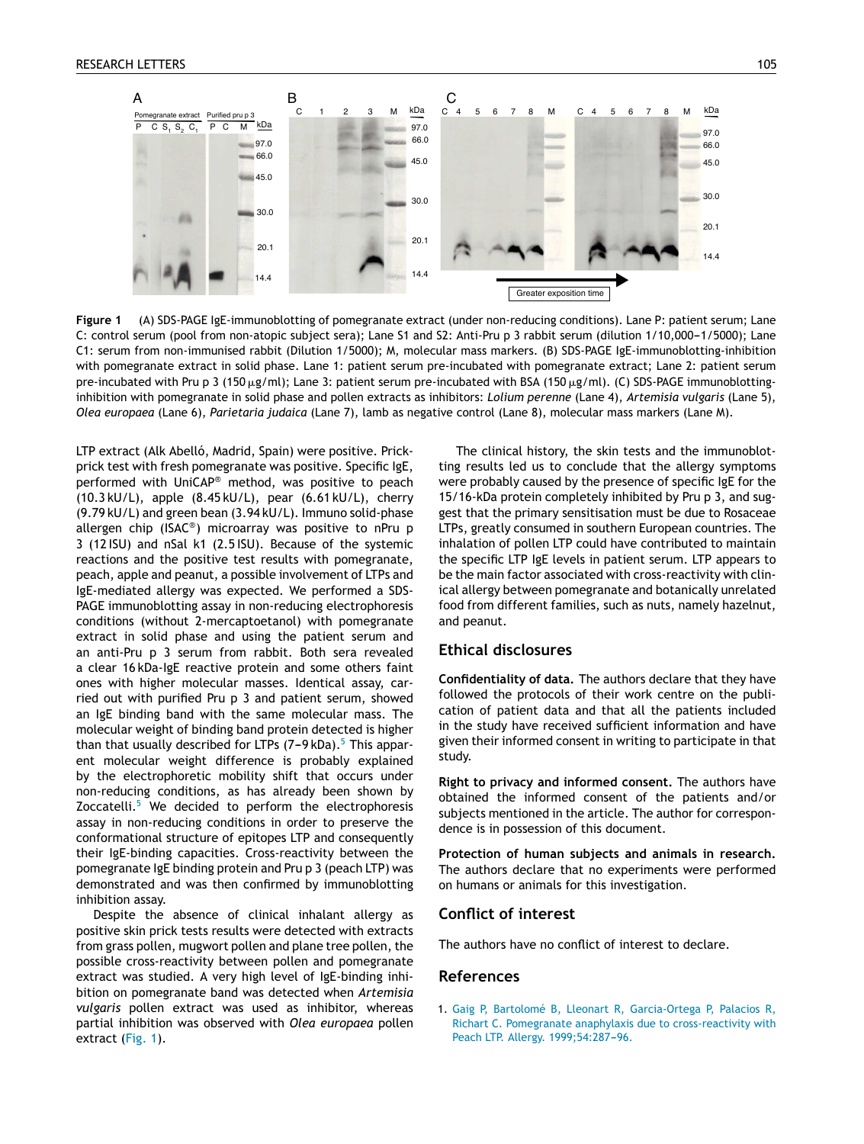<span id="page-1-0"></span>

**Figure 1** (A) SDS-PAGE IgE-immunoblotting of pomegranate extract (under non-reducing conditions). Lane P: patient serum; Lane C: control serum (pool from non-atopic subject sera); Lane S1 and S2: Anti-Pru p 3 rabbit serum (dilution 1/10,000-1/5000); Lane C1: serum from non-immunised rabbit (Dilution 1/5000); M, molecular mass markers. (B) SDS-PAGE IgE-immunoblotting-inhibition with pomegranate extract in solid phase. Lane 1: patient serum pre-incubated with pomegranate extract; Lane 2: patient serum pre-incubated with Pru p 3 (150 µg/ml); Lane 3: patient serum pre-incubated with BSA (150 µg/ml). (C) SDS-PAGE immunoblottinginhibition with pomegranate in solid phase and pollen extracts as inhibitors: *Lolium perenne* (Lane 4), *Artemisia vulgaris* (Lane 5), *Olea europaea* (Lane 6), *Parietaria judaica* (Lane 7), lamb as negative control (Lane 8), molecular mass markers (Lane M).

LTP extract (Alk Abelló, Madrid, Spain) were positive. Prickprick test with fresh pomegranate was positive. Specific IgE, performed with UniCAP® method, was positive to peach (10.3 kU/L), apple (8.45 kU/L), pear (6.61 kU/L), cherry (9.79 kU/L) and green bean (3.94 kU/L). Immuno solid-phase allergen chip (ISAC® ) microarray was positive to nPru p 3 (12 ISU) and nSal k1 (2.5 ISU). Because of the systemic reactions and the positive test results with pomegranate, peach, apple and peanut, a possible involvement of LTPs and IgE-mediated allergy was expected. We performed a SDS-PAGE immunoblotting assay in non-reducing electrophoresis conditions (without 2-mercaptoetanol) with pomegranate extract in solid phase and using the patient serum and an anti-Pru p 3 serum from rabbit. Both sera revealed a clear 16 kDa-IgE reactive protein and some others faint ones with higher molecular masses. Identical assay, carried out with purified Pru p 3 and patient serum, showed an IgE binding band with the same molecular mass. The molecular weight of binding band protein detected is higher than that usually described for L[T](#page-2-0)Ps  $(7-9kDa)$ .<sup>5</sup> This apparent molecular weight difference is probably explained by the electrophoretic mobility shift that occurs under non-reducing conditions, as has already been shown by Zoccatelli.<sup>[5](#page-2-0)</sup> We decided to perform the electrophoresis assay in non-reducing conditions in order to preserve the conformational structure of epitopes LTP and consequently their IgE-binding capacities. Cross-reactivity between the pomegranate IgE binding protein and Pru p 3 (peach LTP) was demonstrated and was then confirmed by immunoblotting inhibition assay.

Despite the absence of clinical inhalant allergy as positive skin prick tests results were detected with extracts from grass pollen, mugwort pollen and plane tree pollen, the possible cross-reactivity between pollen and pomegranate extract was studied. A very high level of IgE-binding inhibition on pomegranate band was detected when *Artemisia vulgaris* pollen extract was used as inhibitor, whereas partial inhibition was observed with *Olea europaea* pollen extract (Fig. 1).

The clinical history, the skin tests and the immunoblotting results led us to conclude that the allergy symptoms were probably caused by the presence of specific IgE for the 15/16-kDa protein completely inhibited by Pru p 3, and suggest that the primary sensitisation must be due to Rosaceae LTPs, greatly consumed in southern European countries. The inhalation of pollen LTP could have contributed to maintain the specific LTP IgE levels in patient serum. LTP appears to be the main factor associated with cross-reactivity with clinical allergy between pomegranate and botanically unrelated food from different families, such as nuts, namely hazelnut, and peanut.

### **Ethical disclosures**

**Confidentiality of data.** The authors declare that they have followed the protocols of their work centre on the publication of patient data and that all the patients included in the study have received sufficient information and have given their informed consent in writing to participate in that study.

**Right to privacy and informed consent.** The authors have obtained the informed consent of the patients and/or subjects mentioned in the article. The author for correspondence is in possession of this document.

**Protection of human subjects and animals in research.** The authors declare that no experiments were performed on humans or animals for this investigation.

#### **Conflict of interest**

The authors have no conflict of interest to declare.

#### **References**

1. [Gaig](http://refhub.elsevier.com/S0301-0546(13)00230-9/sbref0005) [P,](http://refhub.elsevier.com/S0301-0546(13)00230-9/sbref0005) [Bartolomé](http://refhub.elsevier.com/S0301-0546(13)00230-9/sbref0005) [B,](http://refhub.elsevier.com/S0301-0546(13)00230-9/sbref0005) [Lleonart](http://refhub.elsevier.com/S0301-0546(13)00230-9/sbref0005) [R,](http://refhub.elsevier.com/S0301-0546(13)00230-9/sbref0005) [Garcia-Ortega](http://refhub.elsevier.com/S0301-0546(13)00230-9/sbref0005) [P,](http://refhub.elsevier.com/S0301-0546(13)00230-9/sbref0005) [Palacios](http://refhub.elsevier.com/S0301-0546(13)00230-9/sbref0005) [R,](http://refhub.elsevier.com/S0301-0546(13)00230-9/sbref0005) [Richart](http://refhub.elsevier.com/S0301-0546(13)00230-9/sbref0005) [C.](http://refhub.elsevier.com/S0301-0546(13)00230-9/sbref0005) [Pomegranate](http://refhub.elsevier.com/S0301-0546(13)00230-9/sbref0005) [anaphylaxis](http://refhub.elsevier.com/S0301-0546(13)00230-9/sbref0005) [due](http://refhub.elsevier.com/S0301-0546(13)00230-9/sbref0005) [to](http://refhub.elsevier.com/S0301-0546(13)00230-9/sbref0005) [cross-reactivity](http://refhub.elsevier.com/S0301-0546(13)00230-9/sbref0005) [with](http://refhub.elsevier.com/S0301-0546(13)00230-9/sbref0005) [Peach](http://refhub.elsevier.com/S0301-0546(13)00230-9/sbref0005) [LTP.](http://refhub.elsevier.com/S0301-0546(13)00230-9/sbref0005) [Allergy.](http://refhub.elsevier.com/S0301-0546(13)00230-9/sbref0005) 1999;54:287-96.